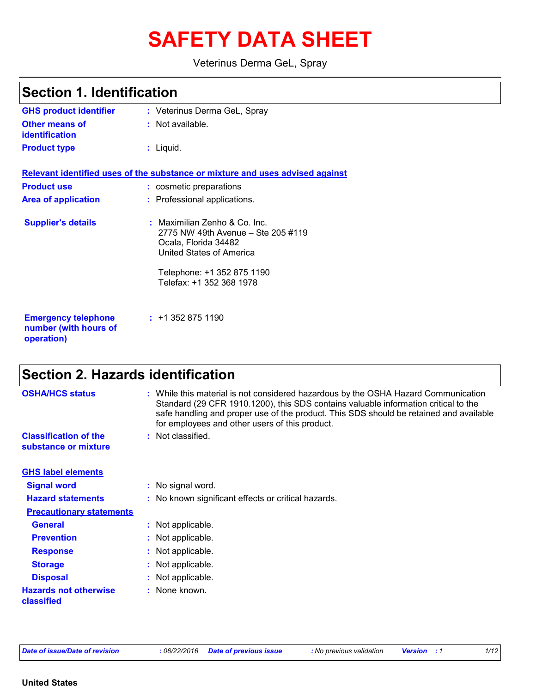# **SAFETY DATA SHEET**

Veterinus Derma GeL, Spray

| <b>Section 1. Identification</b>                                  |                                                                                                                                                                                   |  |
|-------------------------------------------------------------------|-----------------------------------------------------------------------------------------------------------------------------------------------------------------------------------|--|
| <b>GHS product identifier</b>                                     | : Veterinus Derma GeL, Spray                                                                                                                                                      |  |
| Other means of<br><b>identification</b>                           | : Not available.                                                                                                                                                                  |  |
| <b>Product type</b>                                               | : Liquid.                                                                                                                                                                         |  |
|                                                                   | Relevant identified uses of the substance or mixture and uses advised against                                                                                                     |  |
| <b>Product use</b>                                                | : cosmetic preparations                                                                                                                                                           |  |
| <b>Area of application</b>                                        | : Professional applications.                                                                                                                                                      |  |
| <b>Supplier's details</b>                                         | : Maximilian Zenho & Co. Inc.<br>2775 NW 49th Avenue – Ste 205 #119<br>Ocala, Florida 34482<br>United States of America<br>Telephone: +1 352 875 1190<br>Telefax: +1 352 368 1978 |  |
| <b>Emergency telephone</b><br>number (with hours of<br>operation) | : 113528751190                                                                                                                                                                    |  |

# **Section 2. Hazards identification**

| <b>OSHA/HCS status</b>                               | : While this material is not considered hazardous by the OSHA Hazard Communication<br>Standard (29 CFR 1910.1200), this SDS contains valuable information critical to the<br>safe handling and proper use of the product. This SDS should be retained and available<br>for employees and other users of this product. |
|------------------------------------------------------|-----------------------------------------------------------------------------------------------------------------------------------------------------------------------------------------------------------------------------------------------------------------------------------------------------------------------|
| <b>Classification of the</b><br>substance or mixture | : Not classified.                                                                                                                                                                                                                                                                                                     |
| <b>GHS label elements</b>                            |                                                                                                                                                                                                                                                                                                                       |
| <b>Signal word</b>                                   | : No signal word.                                                                                                                                                                                                                                                                                                     |
| <b>Hazard statements</b>                             | : No known significant effects or critical hazards.                                                                                                                                                                                                                                                                   |
| <b>Precautionary statements</b>                      |                                                                                                                                                                                                                                                                                                                       |
| <b>General</b>                                       | : Not applicable.                                                                                                                                                                                                                                                                                                     |
| <b>Prevention</b>                                    | : Not applicable.                                                                                                                                                                                                                                                                                                     |
| <b>Response</b>                                      | : Not applicable.                                                                                                                                                                                                                                                                                                     |
| <b>Storage</b>                                       | : Not applicable.                                                                                                                                                                                                                                                                                                     |
| <b>Disposal</b>                                      | : Not applicable.                                                                                                                                                                                                                                                                                                     |
| <b>Hazards not otherwise</b><br>classified           | : None known.                                                                                                                                                                                                                                                                                                         |

|  |  |  | Date of issue/Date of revision |
|--|--|--|--------------------------------|
|--|--|--|--------------------------------|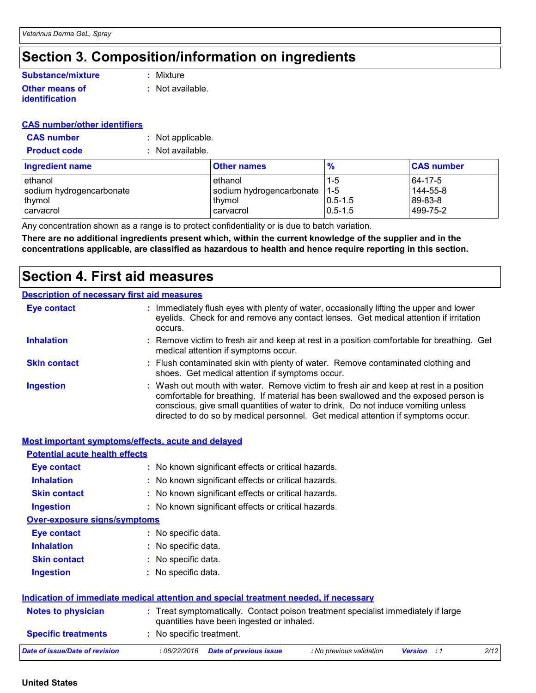# **Section 3. Composition/information on ingredients**

#### **Other means of identification :** Not available. **Substance/mixture**

**:** Mixture

**CAS number/other identifiers**

| <u>cas humberouler identifiers</u> |                    |  |
|------------------------------------|--------------------|--|
| <b>CAS</b> number                  | : Not applicable.  |  |
| <b>Product code</b>                | $:$ Not available. |  |

| <b>Ingredient name</b>   | <b>Other names</b>       | %             | <b>CAS number</b> |
|--------------------------|--------------------------|---------------|-------------------|
| l ethanol                | ethanol                  | $1 - 5$       | 64-17-5           |
| sodium hydrogencarbonate | sodium hydrogencarbonate | $-1 - 5$      | 144-55-8          |
| thymol                   | thymol                   | $ 0.5 - 1.5 $ | 89-83-8           |
| I carvacrol              | carvacrol                | $0.5 - 1.5$   | 499-75-2          |

Any concentration shown as a range is to protect confidentiality or is due to batch variation.

**There are no additional ingredients present which, within the current knowledge of the supplier and in the concentrations applicable, are classified as hazardous to health and hence require reporting in this section.**

### **Section 4. First aid measures**

#### **Description of necessary first aid measures**

| <b>Eye contact</b>  | occurs. | : Immediately flush eyes with plenty of water, occasionally lifting the upper and lower<br>eyelids. Check for and remove any contact lenses. Get medical attention if irritation                                                                                                                                                                       |
|---------------------|---------|--------------------------------------------------------------------------------------------------------------------------------------------------------------------------------------------------------------------------------------------------------------------------------------------------------------------------------------------------------|
| <b>Inhalation</b>   |         | : Remove victim to fresh air and keep at rest in a position comfortable for breathing. Get<br>medical attention if symptoms occur.                                                                                                                                                                                                                     |
| <b>Skin contact</b> |         | : Flush contaminated skin with plenty of water. Remove contaminated clothing and<br>shoes. Get medical attention if symptoms occur.                                                                                                                                                                                                                    |
| <b>Ingestion</b>    |         | : Wash out mouth with water. Remove victim to fresh air and keep at rest in a position<br>comfortable for breathing. If material has been swallowed and the exposed person is<br>conscious, give small quantities of water to drink. Do not induce vomiting unless<br>directed to do so by medical personnel. Get medical attention if symptoms occur. |

|                                       | Most important symptoms/effects, acute and delayed                                                                             |
|---------------------------------------|--------------------------------------------------------------------------------------------------------------------------------|
| <b>Potential acute health effects</b> |                                                                                                                                |
| <b>Eye contact</b>                    | : No known significant effects or critical hazards.                                                                            |
| <b>Inhalation</b>                     | : No known significant effects or critical hazards.                                                                            |
| <b>Skin contact</b>                   | : No known significant effects or critical hazards.                                                                            |
| Ingestion                             | : No known significant effects or critical hazards.                                                                            |
| <b>Over-exposure signs/symptoms</b>   |                                                                                                                                |
| <b>Eye contact</b>                    | : No specific data.                                                                                                            |
| <b>Inhalation</b>                     | : No specific data.                                                                                                            |
| <b>Skin contact</b>                   | : No specific data.                                                                                                            |
| <b>Ingestion</b>                      | : No specific data.                                                                                                            |
|                                       | Indication of immediate medical attention and special treatment needed, if necessary                                           |
| <b>Notes to physician</b>             | : Treat symptomatically. Contact poison treatment specialist immediately if large<br>quantities have been ingested or inhaled. |
| <b>Specific treatments</b>            | : No specific treatment.                                                                                                       |
| Date of issue/Date of revision        | :06/22/2016<br>2/12<br><b>Date of previous issue</b><br>: No previous validation<br><b>Version</b> : 1                         |

#### **United States**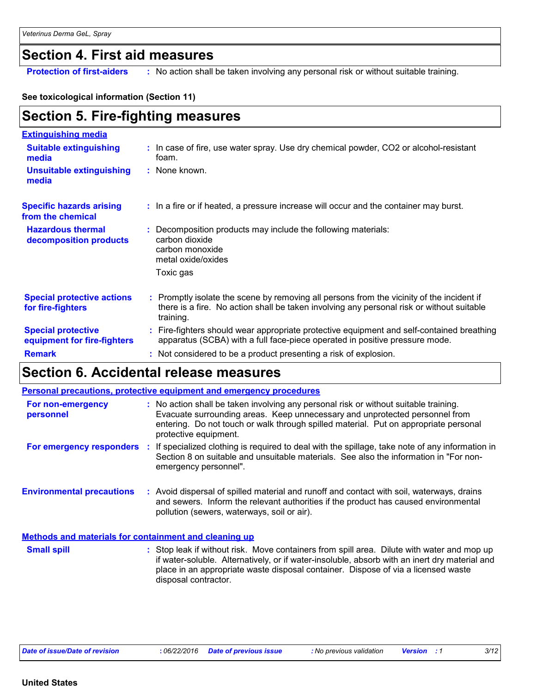### **Section 4. First aid measures**

**Protection of first-aiders :** No action shall be taken involving any personal risk or without suitable training.

#### **See toxicological information (Section 11)**

# **Section 5. Fire-fighting measures**

| <b>Extinguishing media</b>                               |                                                                                                                                                                                                     |
|----------------------------------------------------------|-----------------------------------------------------------------------------------------------------------------------------------------------------------------------------------------------------|
| <b>Suitable extinguishing</b><br>media                   | : In case of fire, use water spray. Use dry chemical powder, CO2 or alcohol-resistant<br>foam.                                                                                                      |
| <b>Unsuitable extinguishing</b><br>media                 | : None known.                                                                                                                                                                                       |
| <b>Specific hazards arising</b><br>from the chemical     | : In a fire or if heated, a pressure increase will occur and the container may burst.                                                                                                               |
| <b>Hazardous thermal</b><br>decomposition products       | Decomposition products may include the following materials:<br>carbon dioxide<br>carbon monoxide<br>metal oxide/oxides<br>Toxic gas                                                                 |
| <b>Special protective actions</b><br>for fire-fighters   | : Promptly isolate the scene by removing all persons from the vicinity of the incident if<br>there is a fire. No action shall be taken involving any personal risk or without suitable<br>training. |
| <b>Special protective</b><br>equipment for fire-fighters | : Fire-fighters should wear appropriate protective equipment and self-contained breathing<br>apparatus (SCBA) with a full face-piece operated in positive pressure mode.                            |
| <b>Remark</b>                                            | : Not considered to be a product presenting a risk of explosion.                                                                                                                                    |

### **Section 6. Accidental release measures**

|                                                              | <b>Personal precautions, protective equipment and emergency procedures</b>                                                                                                                                                                                                           |
|--------------------------------------------------------------|--------------------------------------------------------------------------------------------------------------------------------------------------------------------------------------------------------------------------------------------------------------------------------------|
| For non-emergency<br>personnel                               | : No action shall be taken involving any personal risk or without suitable training.<br>Evacuate surrounding areas. Keep unnecessary and unprotected personnel from<br>entering. Do not touch or walk through spilled material. Put on appropriate personal<br>protective equipment. |
| For emergency responders                                     | : If specialized clothing is required to deal with the spillage, take note of any information in<br>Section 8 on suitable and unsuitable materials. See also the information in "For non-<br>emergency personnel".                                                                   |
| <b>Environmental precautions</b>                             | : Avoid dispersal of spilled material and runoff and contact with soil, waterways, drains<br>and sewers. Inform the relevant authorities if the product has caused environmental<br>pollution (sewers, waterways, soil or air).                                                      |
| <b>Methods and materials for containment and cleaning up</b> |                                                                                                                                                                                                                                                                                      |
| <b>Small spill</b>                                           | : Stop leak if without risk. Move containers from spill area. Dilute with water and mop up<br>if water-soluble. Alternatively, or if water-insoluble, absorb with an inert dry material and<br>place in an appropriate waste disposal container. Dispose of via a licensed waste     |

disposal contractor.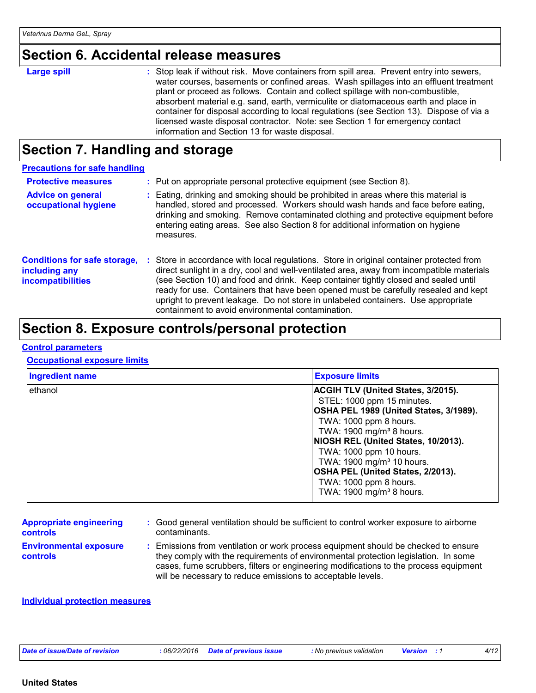### **Section 6. Accidental release measures**

#### **Large spill :**

: Stop leak if without risk. Move containers from spill area. Prevent entry into sewers, water courses, basements or confined areas. Wash spillages into an effluent treatment plant or proceed as follows. Contain and collect spillage with non-combustible, absorbent material e.g. sand, earth, vermiculite or diatomaceous earth and place in container for disposal according to local regulations (see Section 13). Dispose of via a licensed waste disposal contractor. Note: see Section 1 for emergency contact information and Section 13 for waste disposal.

### **Section 7. Handling and storage**

| <b>Precautions for safe handling</b>                                             |    |                                                                                                                                                                                                                                                                                                                                                                                                                                                                                                             |
|----------------------------------------------------------------------------------|----|-------------------------------------------------------------------------------------------------------------------------------------------------------------------------------------------------------------------------------------------------------------------------------------------------------------------------------------------------------------------------------------------------------------------------------------------------------------------------------------------------------------|
| <b>Protective measures</b>                                                       |    | : Put on appropriate personal protective equipment (see Section 8).                                                                                                                                                                                                                                                                                                                                                                                                                                         |
| <b>Advice on general</b><br>occupational hygiene                                 |    | : Eating, drinking and smoking should be prohibited in areas where this material is<br>handled, stored and processed. Workers should wash hands and face before eating,<br>drinking and smoking. Remove contaminated clothing and protective equipment before<br>entering eating areas. See also Section 8 for additional information on hygiene<br>measures.                                                                                                                                               |
| <b>Conditions for safe storage,</b><br>including any<br><b>incompatibilities</b> | ÷. | Store in accordance with local regulations. Store in original container protected from<br>direct sunlight in a dry, cool and well-ventilated area, away from incompatible materials<br>(see Section 10) and food and drink. Keep container tightly closed and sealed until<br>ready for use. Containers that have been opened must be carefully resealed and kept<br>upright to prevent leakage. Do not store in unlabeled containers. Use appropriate<br>containment to avoid environmental contamination. |

### **Section 8. Exposure controls/personal protection**

#### **Control parameters**

#### **Occupational exposure limits**

| <b>Ingredient name</b> | <b>Exposure limits</b>                                                                                                                                                                                                                                                                                                                                                                                |
|------------------------|-------------------------------------------------------------------------------------------------------------------------------------------------------------------------------------------------------------------------------------------------------------------------------------------------------------------------------------------------------------------------------------------------------|
| ethanol                | <b>ACGIH TLV (United States, 3/2015).</b><br>STEL: 1000 ppm 15 minutes.<br>OSHA PEL 1989 (United States, 3/1989).<br>TWA: 1000 ppm 8 hours.<br>TWA: 1900 mg/m <sup>3</sup> 8 hours.<br>NIOSH REL (United States, 10/2013).<br>TWA: 1000 ppm 10 hours.<br>TWA: 1900 mg/m <sup>3</sup> 10 hours.<br>OSHA PEL (United States, 2/2013).<br>TWA: 1000 ppm 8 hours.<br>TWA: 1900 mg/m <sup>3</sup> 8 hours. |

#### **Appropriate engineering controls**

**:** Good general ventilation should be sufficient to control worker exposure to airborne contaminants.

**Environmental exposure controls**

**:** Emissions from ventilation or work process equipment should be checked to ensure they comply with the requirements of environmental protection legislation. In some cases, fume scrubbers, filters or engineering modifications to the process equipment will be necessary to reduce emissions to acceptable levels.

#### **Individual protection measures**

| Date of issue/Date of revision |  |
|--------------------------------|--|
|--------------------------------|--|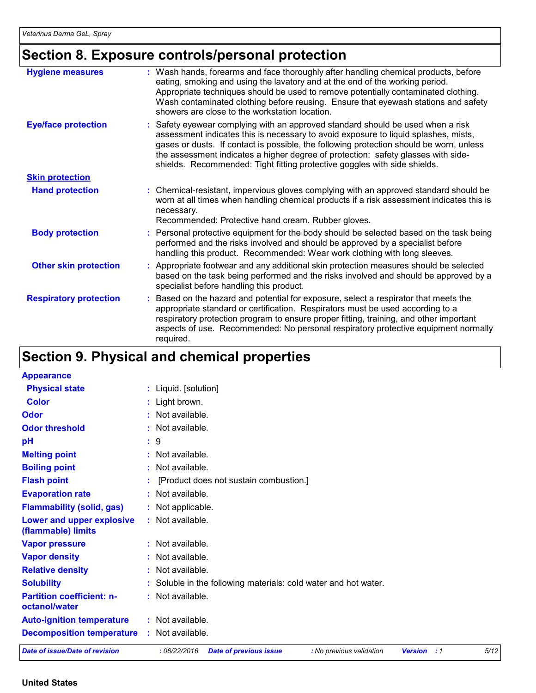# **Section 8. Exposure controls/personal protection**

| <b>Hygiene measures</b>       | : Wash hands, forearms and face thoroughly after handling chemical products, before<br>eating, smoking and using the lavatory and at the end of the working period.<br>Appropriate techniques should be used to remove potentially contaminated clothing.<br>Wash contaminated clothing before reusing. Ensure that eyewash stations and safety<br>showers are close to the workstation location.                                   |
|-------------------------------|-------------------------------------------------------------------------------------------------------------------------------------------------------------------------------------------------------------------------------------------------------------------------------------------------------------------------------------------------------------------------------------------------------------------------------------|
| <b>Eye/face protection</b>    | : Safety eyewear complying with an approved standard should be used when a risk<br>assessment indicates this is necessary to avoid exposure to liquid splashes, mists,<br>gases or dusts. If contact is possible, the following protection should be worn, unless<br>the assessment indicates a higher degree of protection: safety glasses with side-<br>shields. Recommended: Tight fitting protective goggles with side shields. |
| <b>Skin protection</b>        |                                                                                                                                                                                                                                                                                                                                                                                                                                     |
| <b>Hand protection</b>        | : Chemical-resistant, impervious gloves complying with an approved standard should be<br>worn at all times when handling chemical products if a risk assessment indicates this is<br>necessary.<br>Recommended: Protective hand cream. Rubber gloves.                                                                                                                                                                               |
| <b>Body protection</b>        | : Personal protective equipment for the body should be selected based on the task being<br>performed and the risks involved and should be approved by a specialist before<br>handling this product. Recommended: Wear work clothing with long sleeves.                                                                                                                                                                              |
| <b>Other skin protection</b>  | : Appropriate footwear and any additional skin protection measures should be selected<br>based on the task being performed and the risks involved and should be approved by a<br>specialist before handling this product.                                                                                                                                                                                                           |
| <b>Respiratory protection</b> | : Based on the hazard and potential for exposure, select a respirator that meets the<br>appropriate standard or certification. Respirators must be used according to a<br>respiratory protection program to ensure proper fitting, training, and other important<br>aspects of use. Recommended: No personal respiratory protective equipment normally<br>required.                                                                 |

# **Section 9. Physical and chemical properties**

| <b>Appearance</b>                                 |                                                                                                |      |
|---------------------------------------------------|------------------------------------------------------------------------------------------------|------|
| <b>Physical state</b>                             | : Liquid. [solution]                                                                           |      |
| <b>Color</b>                                      | : Light brown.                                                                                 |      |
| Odor                                              | : Not available.                                                                               |      |
| <b>Odor threshold</b>                             | : Not available.                                                                               |      |
| pH                                                | :9                                                                                             |      |
| <b>Melting point</b>                              | : Not available.                                                                               |      |
| <b>Boiling point</b>                              | : Not available.                                                                               |      |
| <b>Flash point</b>                                | [Product does not sustain combustion.]                                                         |      |
| <b>Evaporation rate</b>                           | : Not available.                                                                               |      |
| <b>Flammability (solid, gas)</b>                  | : Not applicable.                                                                              |      |
| Lower and upper explosive<br>(flammable) limits   | : Not available.                                                                               |      |
| <b>Vapor pressure</b>                             | : Not available.                                                                               |      |
| <b>Vapor density</b>                              | : Not available.                                                                               |      |
| <b>Relative density</b>                           | : Not available.                                                                               |      |
| <b>Solubility</b>                                 | : Soluble in the following materials: cold water and hot water.                                |      |
| <b>Partition coefficient: n-</b><br>octanol/water | : Not available.                                                                               |      |
| <b>Auto-ignition temperature</b>                  | : Not available.                                                                               |      |
| <b>Decomposition temperature</b>                  | : Not available.                                                                               |      |
| Date of issue/Date of revision                    | :06/22/2016<br><b>Date of previous issue</b><br>: No previous validation<br><b>Version</b> : 1 | 5/12 |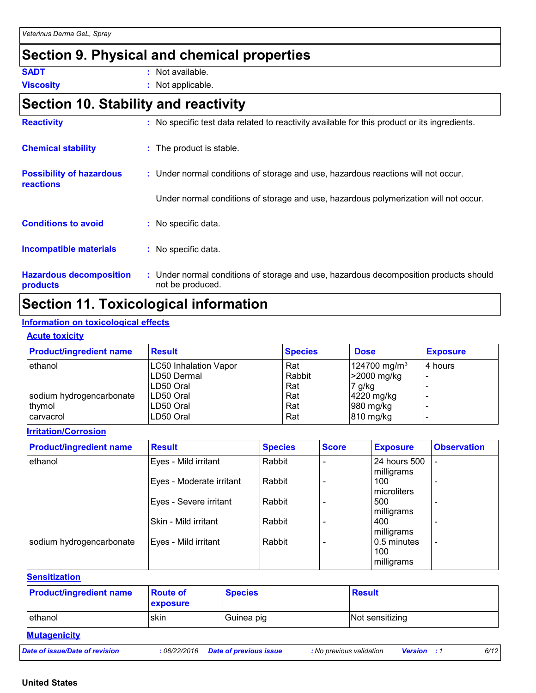# **Section 9. Physical and chemical properties**

| SADT | Not available. |
|------|----------------|
|      |                |

**Viscosity :** Not applicable.

### **Section 10. Stability and reactivity**

| <b>Reactivity</b>                            | No specific test data related to reactivity available for this product or its ingredients.<br>t.          |
|----------------------------------------------|-----------------------------------------------------------------------------------------------------------|
| <b>Chemical stability</b>                    | : The product is stable.                                                                                  |
| <b>Possibility of hazardous</b><br>reactions | : Under normal conditions of storage and use, hazardous reactions will not occur.                         |
|                                              | Under normal conditions of storage and use, hazardous polymerization will not occur.                      |
| <b>Conditions to avoid</b>                   | No specific data.                                                                                         |
| <b>Incompatible materials</b>                | No specific data.<br>÷.                                                                                   |
| <b>Hazardous decomposition</b><br>products   | : Under normal conditions of storage and use, hazardous decomposition products should<br>not be produced. |

# **Section 11. Toxicological information**

#### **Information on toxicological effects**

#### **Acute toxicity**

| <b>Product/ingredient name</b> | <b>Result</b>         | <b>Species</b> | <b>Dose</b>              | <b>Exposure</b> |
|--------------------------------|-----------------------|----------------|--------------------------|-----------------|
| ethanol                        | LC50 Inhalation Vapor | Rat            | 124700 mg/m <sup>3</sup> | 4 hours         |
|                                | LD50 Dermal           | Rabbit         | >2000 mg/kg              |                 |
|                                | LD50 Oral             | Rat            | 7 g/kg                   |                 |
| sodium hydrogencarbonate       | LD50 Oral             | Rat            | $4220$ mg/kg             |                 |
| thymol                         | LD50 Oral             | Rat            | 980 mg/kg                |                 |
| carvacrol                      | LD50 Oral             | Rat            | 810 mg/kg                |                 |

#### **Irritation/Corrosion**

| <b>Product/ingredient name</b> | <b>Result</b>            | <b>Species</b> | <b>Score</b> | <b>Exposure</b>                  | <b>Observation</b>       |
|--------------------------------|--------------------------|----------------|--------------|----------------------------------|--------------------------|
| ethanol                        | Eyes - Mild irritant     | Rabbit         |              | 24 hours 500<br>milligrams       |                          |
|                                | Eyes - Moderate irritant | Rabbit         |              | 100<br>microliters               | ٠                        |
|                                | Eyes - Severe irritant   | Rabbit         |              | 500<br>milligrams                |                          |
|                                | Skin - Mild irritant     | Rabbit         |              | 400<br>milligrams                |                          |
| sodium hydrogencarbonate       | Eyes - Mild irritant     | Rabbit         |              | 0.5 minutes<br>100<br>milligrams | $\overline{\phantom{a}}$ |

#### **Sensitization**

| <b>Product/ingredient name</b> | <b>Route of</b><br><b>exposure</b> | <b>Species</b> | <b>Result</b>   |
|--------------------------------|------------------------------------|----------------|-----------------|
| ethanol                        | skin                               | Guinea pig     | Not sensitizing |
| <b>Mutagenicity</b>            |                                    |                |                 |

*Date of issue/Date of revision* **:** *06/22/2016 Date of previous issue : No previous validation Version : 1 6/12*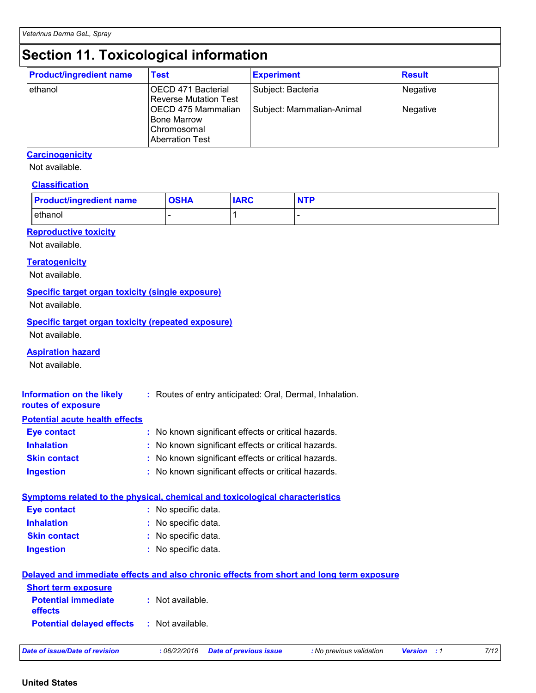# **Section 11. Toxicological information**

| <b>Product/ingredient name</b> | <b>Test</b>                                                                       | <b>Experiment</b>         | <b>Result</b> |
|--------------------------------|-----------------------------------------------------------------------------------|---------------------------|---------------|
| ethanol                        | OECD 471 Bacterial<br>Reverse Mutation Test                                       | Subject: Bacteria         | Negative      |
|                                | OECD 475 Mammalian<br><b>Bone Marrow</b><br>Chromosomal<br><b>Aberration Test</b> | Subject: Mammalian-Animal | Negative      |

#### **Carcinogenicity**

Not available.

#### **Classification**

| <b>Product/ingredient name</b> | <b>OSHA</b> | <b>IARC</b> |  |
|--------------------------------|-------------|-------------|--|
| ethanol                        |             |             |  |

#### **Reproductive toxicity**

Not available.

#### **Teratogenicity**

Not available.

#### **Specific target organ toxicity (single exposure)**

Not available.

#### **Specific target organ toxicity (repeated exposure)**

Not available.

#### **Aspiration hazard**

Not available.

| Information on the likely<br>routes of exposure   | : Routes of entry anticipated: Oral, Dermal, Inhalation.                                 |  |  |  |
|---------------------------------------------------|------------------------------------------------------------------------------------------|--|--|--|
| <b>Potential acute health effects</b>             |                                                                                          |  |  |  |
| <b>Eye contact</b>                                | : No known significant effects or critical hazards.                                      |  |  |  |
| <b>Inhalation</b>                                 | : No known significant effects or critical hazards.                                      |  |  |  |
| <b>Skin contact</b>                               | : No known significant effects or critical hazards.                                      |  |  |  |
| <b>Ingestion</b>                                  | : No known significant effects or critical hazards.                                      |  |  |  |
|                                                   | Symptoms related to the physical, chemical and toxicological characteristics             |  |  |  |
| <b>Eye contact</b>                                | : No specific data.                                                                      |  |  |  |
| <b>Inhalation</b>                                 | : No specific data.                                                                      |  |  |  |
| <b>Skin contact</b>                               | : No specific data.                                                                      |  |  |  |
| <b>Ingestion</b>                                  | : No specific data.                                                                      |  |  |  |
|                                                   | Delayed and immediate effects and also chronic effects from short and long term exposure |  |  |  |
| <b>Short term exposure</b>                        |                                                                                          |  |  |  |
| <b>Potential immediate</b><br>effects             | $:$ Not available.                                                                       |  |  |  |
| <b>Potential delayed effects : Not available.</b> |                                                                                          |  |  |  |

|  | Date of issue/Date of revision |  |
|--|--------------------------------|--|
|--|--------------------------------|--|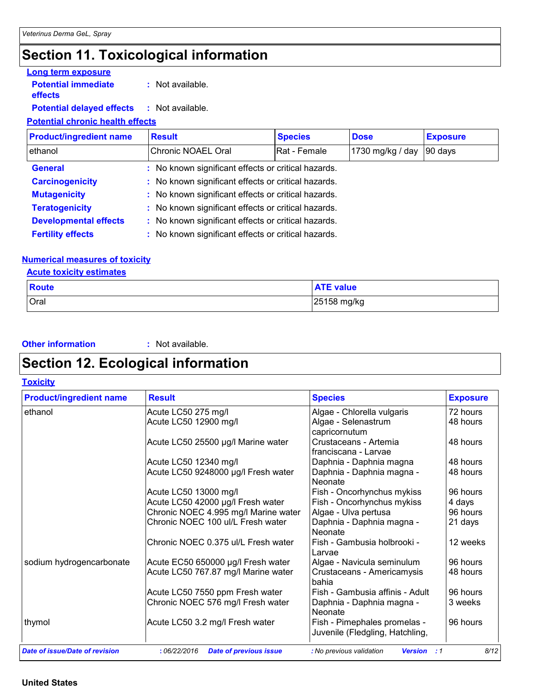# **Section 11. Toxicological information**

#### **Potential immediate Long term exposure**

**effects**

**:** Not available.

#### **Potential delayed effects :** Not available.

#### **Potential chronic health effects**

| <b>Product/ingredient name</b> | <b>Result</b>                                       | <b>Species</b>                                      | <b>Dose</b>      | <b>Exposure</b> |  |  |
|--------------------------------|-----------------------------------------------------|-----------------------------------------------------|------------------|-----------------|--|--|
| ethanol                        | Chronic NOAEL Oral                                  | Rat - Female                                        | 1730 mg/kg / day | 90 days         |  |  |
| <b>General</b>                 | : No known significant effects or critical hazards. |                                                     |                  |                 |  |  |
| <b>Carcinogenicity</b>         |                                                     | : No known significant effects or critical hazards. |                  |                 |  |  |
| <b>Mutagenicity</b>            | : No known significant effects or critical hazards. |                                                     |                  |                 |  |  |
| <b>Teratogenicity</b>          | : No known significant effects or critical hazards. |                                                     |                  |                 |  |  |
| <b>Developmental effects</b>   | : No known significant effects or critical hazards. |                                                     |                  |                 |  |  |
| <b>Fertility effects</b>       | : No known significant effects or critical hazards. |                                                     |                  |                 |  |  |

#### **Numerical measures of toxicity**

**Acute toxicity estimates**

| <b>Route</b> | <b>ATE value</b> |
|--------------|------------------|
| <b>Oral</b>  | 25158 mg/kg      |

**Other information :** Not available.

### **Section 12. Ecological information**

**Toxicity**

| <b>Product/ingredient name</b> | <b>Result</b>                        | <b>Species</b>                                                  | <b>Exposure</b> |  |
|--------------------------------|--------------------------------------|-----------------------------------------------------------------|-----------------|--|
| ethanol                        | Acute LC50 275 mg/l                  | Algae - Chlorella vulgaris                                      | 72 hours        |  |
|                                | Acute LC50 12900 mg/l                | Algae - Selenastrum                                             | 48 hours        |  |
|                                |                                      | capricornutum                                                   |                 |  |
|                                | Acute LC50 25500 µg/l Marine water   | Crustaceans - Artemia                                           | 48 hours        |  |
|                                |                                      | franciscana - Larvae                                            |                 |  |
|                                | Acute LC50 12340 mg/l                | Daphnia - Daphnia magna                                         | 48 hours        |  |
|                                | Acute LC50 9248000 µg/l Fresh water  | Daphnia - Daphnia magna -<br>Neonate                            | 48 hours        |  |
|                                | Acute LC50 13000 mg/l                | Fish - Oncorhynchus mykiss                                      | 96 hours        |  |
|                                | Acute LC50 42000 µg/l Fresh water    | Fish - Oncorhynchus mykiss                                      | 4 days          |  |
|                                | Chronic NOEC 4.995 mg/l Marine water | Algae - Ulva pertusa                                            | 96 hours        |  |
|                                | Chronic NOEC 100 ul/L Fresh water    | Daphnia - Daphnia magna -<br><b>Neonate</b>                     | 21 days         |  |
|                                | lChronic NOEC 0.375 ul/L Fresh water | Fish - Gambusia holbrooki -<br>Larvae                           | 12 weeks        |  |
| sodium hydrogencarbonate       | Acute EC50 650000 µg/l Fresh water   | Algae - Navicula seminulum                                      | 96 hours        |  |
|                                | Acute LC50 767.87 mg/l Marine water  | Crustaceans - Americamysis<br>bahia                             | 48 hours        |  |
|                                | Acute LC50 7550 ppm Fresh water      | Fish - Gambusia affinis - Adult                                 | 96 hours        |  |
|                                | Chronic NOEC 576 mg/l Fresh water    | Daphnia - Daphnia magna -<br>Neonate                            | 3 weeks         |  |
| thymol                         | Acute LC50 3.2 mg/l Fresh water      | Fish - Pimephales promelas -<br>Juvenile (Fledgling, Hatchling, | 96 hours        |  |

#### **United States**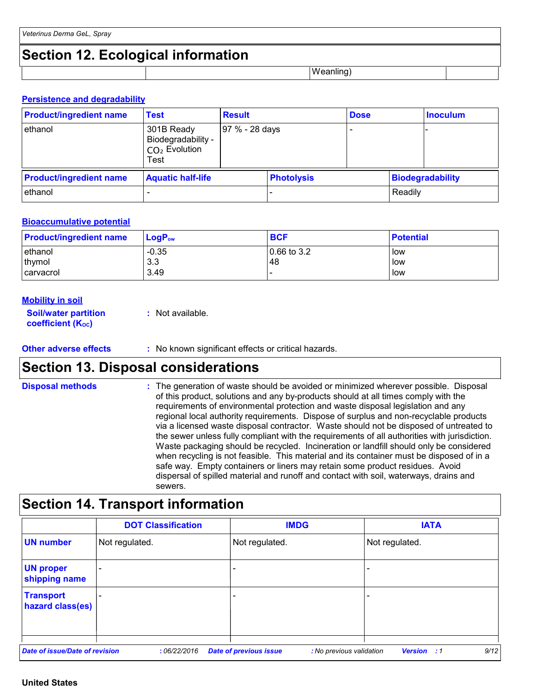# **Section 12. Ecological information**

Weanling)

#### **Persistence and degradability**

| <b>Product/ingredient name</b> | Test                                                        | <b>Result</b>  |                   | <b>Dose</b> |         | <b>Inoculum</b>  |  |
|--------------------------------|-------------------------------------------------------------|----------------|-------------------|-------------|---------|------------------|--|
| ethanol                        | 301B Ready<br>Biodegradability -<br>$CO2$ Evolution<br>Test | 97 % - 28 days |                   |             |         |                  |  |
| <b>Product/ingredient name</b> | <b>Aquatic half-life</b>                                    |                | <b>Photolysis</b> |             |         | Biodegradability |  |
| ethanol                        |                                                             |                |                   |             | Readily |                  |  |

#### **Bioaccumulative potential**

| <b>Product/ingredient name</b> | LogP <sub>ow</sub> | <b>BCF</b>     | <b>Potential</b> |
|--------------------------------|--------------------|----------------|------------------|
| ethanol                        | $-0.35$            | $ 0.66$ to 3.2 | low              |
| thymol                         | 3.3                | 48             | low              |
| <b>carvacrol</b>               | 3.49               |                | low              |

#### **Mobility in soil**

| <b>Soil/water partition</b>    | : Not available. |
|--------------------------------|------------------|
| coefficient (K <sub>oc</sub> ) |                  |

#### **Other adverse effects** : No known significant effects or critical hazards.

### **Section 13. Disposal considerations**

The generation of waste should be avoided or minimized wherever possible. Disposal of this product, solutions and any by-products should at all times comply with the requirements of environmental protection and waste disposal legislation and any regional local authority requirements. Dispose of surplus and non-recyclable products via a licensed waste disposal contractor. Waste should not be disposed of untreated to the sewer unless fully compliant with the requirements of all authorities with jurisdiction. Waste packaging should be recycled. Incineration or landfill should only be considered when recycling is not feasible. This material and its container must be disposed of in a safe way. Empty containers or liners may retain some product residues. Avoid dispersal of spilled material and runoff and contact with soil, waterways, drains and sewers. **Disposal methods :**

# **Section 14. Transport information**

|                                      | <b>DOT Classification</b> | <b>IMDG</b>                                               | <b>IATA</b>                              |
|--------------------------------------|---------------------------|-----------------------------------------------------------|------------------------------------------|
| <b>UN number</b>                     | Not regulated.            | Not regulated.                                            | Not regulated.                           |
| <b>UN proper</b><br>shipping name    |                           |                                                           |                                          |
| <b>Transport</b><br>hazard class(es) |                           |                                                           | ۰                                        |
| Date of issue/Date of revision       | :06/22/2016               | <b>Date of previous issue</b><br>: No previous validation | 9/12<br><b>Version</b><br>$\therefore$ 1 |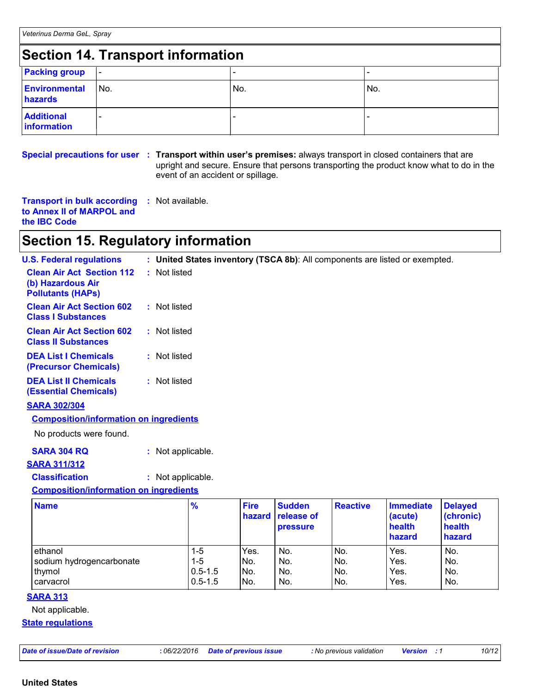# **Section 14. Transport information**

| <b>Packing group</b>             | $\overline{\phantom{a}}$ |     |     |  |  |  |
|----------------------------------|--------------------------|-----|-----|--|--|--|
| Environmental<br>hazards         | No.                      | No. | No. |  |  |  |
| <b>Additional</b><br>information |                          |     |     |  |  |  |

#### **Special precautions for user Transport within user's premises:** always transport in closed containers that are **:** upright and secure. Ensure that persons transporting the product know what to do in the event of an accident or spillage.

**Transport in bulk according to Annex II of MARPOL and the IBC Code :** Not available.

### **Section 15. Regulatory information**

| <b>U.S. Federal regulations</b>                                                   | : United States inventory (TSCA 8b): All components are listed or exempted. |
|-----------------------------------------------------------------------------------|-----------------------------------------------------------------------------|
| <b>Clean Air Act Section 112</b><br>(b) Hazardous Air<br><b>Pollutants (HAPS)</b> | : Not listed                                                                |
| <b>Clean Air Act Section 602</b><br><b>Class I Substances</b>                     | : Not listed                                                                |
| <b>Clean Air Act Section 602</b><br><b>Class II Substances</b>                    | : Not listed                                                                |
| <b>DEA List I Chemicals</b><br><b>(Precursor Chemicals)</b>                       | : Not listed                                                                |
| <b>DEA List II Chemicals</b><br><b>(Essential Chemicals)</b>                      | : Not listed                                                                |
| <b>CADA 2001204</b>                                                               |                                                                             |

**SARA 302/304**

| <b>Composition/information on ingredients</b> |
|-----------------------------------------------|
|-----------------------------------------------|

No products were found.

#### **SARA 311/312**

### **Classification :** Not applicable.

#### **Composition/information on ingredients**

| <b>Name</b>              | $\frac{9}{6}$ | <b>Fire</b><br>hazard | <b>Sudden</b><br><b>release of</b><br><b>pressure</b> | <b>Reactive</b> | Immediate<br>(acute)<br>health<br>hazard | <b>Delayed</b><br>(chronic)<br>health<br>hazard |
|--------------------------|---------------|-----------------------|-------------------------------------------------------|-----------------|------------------------------------------|-------------------------------------------------|
| ethanol                  | 1-5           | Yes.                  | No.                                                   | No.             | Yes.                                     | No.                                             |
| sodium hydrogencarbonate | $1-5$         | No.                   | No.                                                   | INo.            | Yes.                                     | No.                                             |
| thymol                   | $0.5 - 1.5$   | INo.                  | No.                                                   | No.             | Yes.                                     | No.                                             |
| carvacrol                | $0.5 - 1.5$   | No.                   | No.                                                   | INo.            | Yes.                                     | No.                                             |

#### **SARA 313**

Not applicable.

#### **State regulations**

| Date of issue/Date of revision |  |
|--------------------------------|--|
|--------------------------------|--|

*Date of issue/Date of revision* **:** *06/22/2016 Date of previous issue : No previous validation Version : 1 10/12*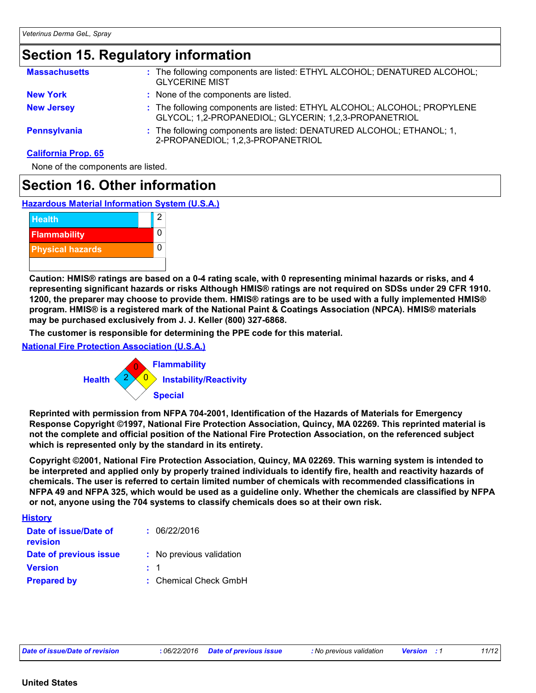# **Section 15. Regulatory information**

| <b>Massachusetts</b>       | : The following components are listed: ETHYL ALCOHOL; DENATURED ALCOHOL;<br><b>GLYCERINE MIST</b>                                 |
|----------------------------|-----------------------------------------------------------------------------------------------------------------------------------|
| <b>New York</b>            | : None of the components are listed.                                                                                              |
| <b>New Jersey</b>          | : The following components are listed: ETHYL ALCOHOL; ALCOHOL; PROPYLENE<br>GLYCOL; 1,2-PROPANEDIOL; GLYCERIN; 1,2,3-PROPANETRIOL |
| <b>Pennsylvania</b>        | : The following components are listed: DENATURED ALCOHOL; ETHANOL; 1,<br>2-PROPANEDIOL; 1,2,3-PROPANETRIOL                        |
| <b>California Prop. 65</b> |                                                                                                                                   |

None of the components are listed.

### **Section 16. Other information**

**Hazardous Material Information System (U.S.A.)**



**Caution: HMIS® ratings are based on a 0-4 rating scale, with 0 representing minimal hazards or risks, and 4 representing significant hazards or risks Although HMIS® ratings are not required on SDSs under 29 CFR 1910. 1200, the preparer may choose to provide them. HMIS® ratings are to be used with a fully implemented HMIS® program. HMIS® is a registered mark of the National Paint & Coatings Association (NPCA). HMIS® materials may be purchased exclusively from J. J. Keller (800) 327-6868.**

**The customer is responsible for determining the PPE code for this material.**

**National Fire Protection Association (U.S.A.)**



**Reprinted with permission from NFPA 704-2001, Identification of the Hazards of Materials for Emergency Response Copyright ©1997, National Fire Protection Association, Quincy, MA 02269. This reprinted material is not the complete and official position of the National Fire Protection Association, on the referenced subject which is represented only by the standard in its entirety.**

**Copyright ©2001, National Fire Protection Association, Quincy, MA 02269. This warning system is intended to be interpreted and applied only by properly trained individuals to identify fire, health and reactivity hazards of chemicals. The user is referred to certain limited number of chemicals with recommended classifications in NFPA 49 and NFPA 325, which would be used as a guideline only. Whether the chemicals are classified by NFPA or not, anyone using the 704 systems to classify chemicals does so at their own risk.**

#### **History**

| Date of issue/Date of<br>revision |         | : 06/22/2016             |
|-----------------------------------|---------|--------------------------|
| Date of previous issue            |         | : No previous validation |
| <b>Version</b>                    | $\pm$ 1 |                          |
| <b>Prepared by</b>                |         | : Chemical Check GmbH    |